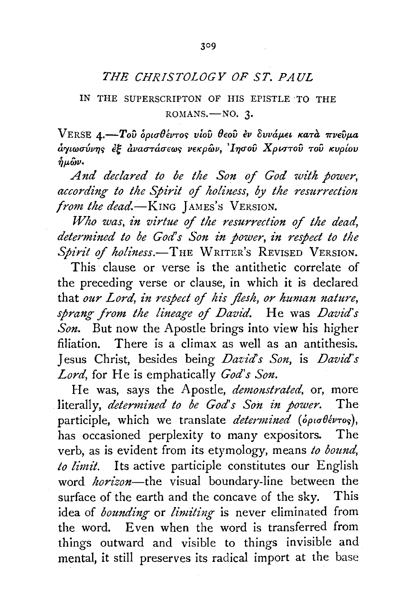## *THE CHRISTOLOGY OF ST. PAUL*

## IN THE SUPERSCRIPTON OF HIS EPISTLE ·TO THE ROMANS.-NO. 3.

VERSE 4.-Toῦ ορισθέντος *vioῦ θεοῦ εν δυνάμει κατ*α πνεῦμα *arytrocr{wq<;* eE *avacrracreror; VEtcpwv,* , *l-qcrov XpttTTOV TOV tcvpfov*   $\hat{n}$  $\mu$  $\hat{\omega}$  $\nu$ .

*And declared to be the Son of God wi'th power, according to the Spirit of holiness, by the resurrection from the dead.*-KING JAMES'S VERSION.

*Who was, £n virtue of the resurrection of the dead,*  determined to be God's Son in power, in respect to the Spirit of holiness.<sup>-THE</sup> WRITER's REVISED VERSION.

This clause or verse is the antithetic correlate of the preceding verse or clause, in which it is declared that *our Lord, in respect of his flesh, or human nature, sprang from the lineage of David.* He was *David's Son.* But now the Apostle brings into view his higher filiation. There is a climax as well as an antithesis. Jesus Christ, besides being *Daz:id' s Son,* is *David's Lord,* for He is emphatically *God's Son.* 

He was, says the Apostle, *demonstrated,* or, more literally, *determined to be God's Son in power.* The participle, which we translate *determined (opto 06vros)*, has occasioned perplexity to many expositors. The verb, as is evident from its etymology, means *to bound, to limi't.* Its active participle constitutes our English word *horizon-the* visual boundary-line between the surface of the earth and the concave of the sky. This idea of *bounding* or *limiting* is never eliminated from the word. Even when the word is transferred from things outward and visible to things invisible and mental, it still preserves its radical import at the base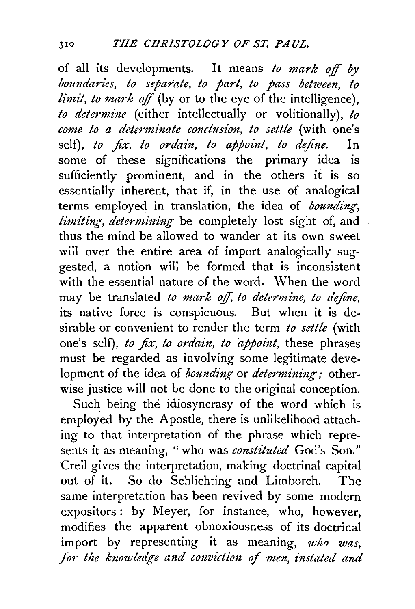of all its developments. It means *to mark off by boundan·es, to separate, to part, to pass between, to limit, to mark* off (by or to the eye of the intelligence), *to determine* (either intellectually or volitionally), *to come to a determinate conclusion, to settle* (with one's self), *to fix, to ordain, to appoint, to define.* In some of these significations the primary idea is sufficiently prominent, and in the others it is so essentially inherent, that if, in the use of analogical terms employed in translation, the idea of *bounding*, *limiting, determining* be completely lost sight of, and thus the mind be allowed to wander at its own sweet will over the entire area of import analogically suggested, a notion will be formed that is inconsistent with the essential nature of the word. When the word may be translated *to mark* off, *to determine, to define,*  its native force is conspicuous. But when it is desirable or convenient to render the term *to settle* (with one's self), *to fix, to ordain, to appoint,* these phrases must be regarded as involving some legitimate development of the idea of *bounding* or *determining*; otherwise justice will not be done to the original conception.

Such being the idiosyncrasy of the word which is employed by the Apostle, there is unlikelihood attaching to that interpretation of the phrase which represents it as meaning, "who was *constituted* God's Son." Crell gives the interpretation, making doctrinal capital out of it. So do Schlichting and Limborch. The same interpretation has been revived by some modern expositors : by Meyer, for instance, who, however, modifies the apparent obnoxiousness of its doctrinal import by representing it as meaning, *who was, for the knowledge and conviction of men, instated and*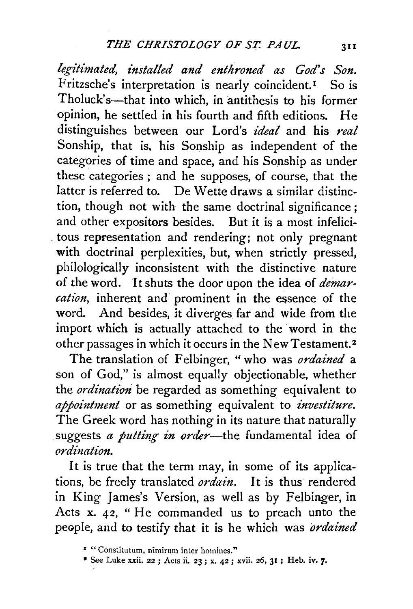legitimated, installed and enthroned as God's Son. Fritzsche's interpretation is nearly coincident.<sup>1</sup> So is Tholuck's—that into which, in antithesis to his former opinion, he settled in his fourth and fifth editions. He distinguishes between our Lord's *ideal* and his *real*  Sonship, that is, his Sonship as independent of the categories of time and space, and his Sonship as under these categories ; and he supposes, of course, that the latter is referred to. De Wette draws a similar distinction, though not with the same doctrinal significance ; and other expositors besides. But it is a most infelici- . tous representation and rendering; not only pregnant with doctrinal perplexities, but, when strictly pressed, philologically inconsistent with the distinctive nature of the word. It shuts the door upon the idea of *demarcation,* inherent and prominent in the essence of the word. And besides, it diverges far and wide from the import which is actually attached to the word in the other passages in which it occurs in the NewTestament. <sup>2</sup>

The translation of Felbinger, "who was *ordained* a son of God," is almost equally objectionable, whether the *ordination* be regarded as something equivalent to *appointment* or as something equivalent to *investiture*. The Greek word has nothing in its nature that naturally suggests *a putting in order*—the fundamental idea of *ordination.* 

It is true that the term may, in some of its applications, be freely translated *ordain.* It is thus rendered in King James's Version, as well as by Felbinger, in Acts x. 42, " He commanded us to preach unto the peaple, and to testify that it is he which was *ordained* 

<sup>• «</sup> Constitutum, nimirum inter homines."

<sup>•</sup> See Luke xxii. 22 ; Acts ii. 23; x. 42; xvii. 26, 31 ; Heb. iv. 7•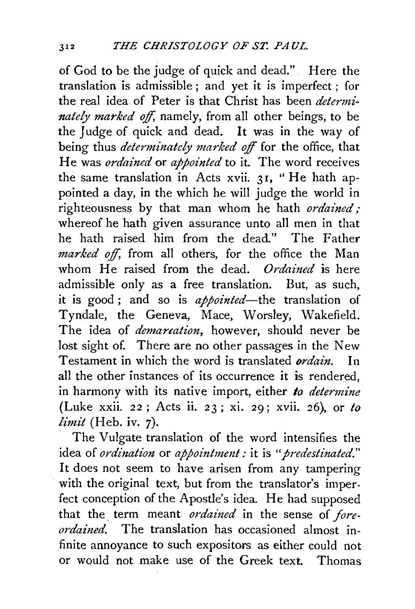of God to be the judge of quick and dead." Here the translation is admissible; and yet it is imperfect; for the real idea of Peter is that Christ has been *determinately marked off*, namely, from all other beings, to be the Judge of quick and dead. It was in the way of being thus *determinately marked* off for the office, that He was *ordained* or *appointed* to it. The word receives the same translation in Acts xvii. 31, "He hath appointed a day, in the which he will judge the world in righteousness by that man whom he hath *ordained;*  whereof he hath given assurance unto all men in that he hath raised him from the dead." The Father *marked off,* from all others, for the office the Man whom He raised from the dead. *Ordained* is here admissible only as a free translation. But, as such, it is good; and so is *appointed-the* translation of Tyndale, the Geneva, Mace, Worsley, Wakefield. The idea of *demarcation*, however, should never be lost sight of. There are no other passages in the New Testament in which the word is translated *ordain.* In all the other instances of its occurrence it is rendered, in harmony with its native import, either to *determine* (Luke xxii. 22 ; Acts ii. 23 ; xi. 29; xvii. 26), or *to limit* (Heb. iv. 7).

The Vulgate translation of the word intensifies the idea of *ordination* or *appointment:* it is *"predestinated."*  It does not seem to have arisen from any tampering with the original text, but from the translator's imperfect conception of the Apostle's idea. He had supposed that the term meant *ordained* in the sense of *foreordained.* The translation has occasioned almost infinite annoyance to such expositors as either could not or would not make use of the Greek text. Thomas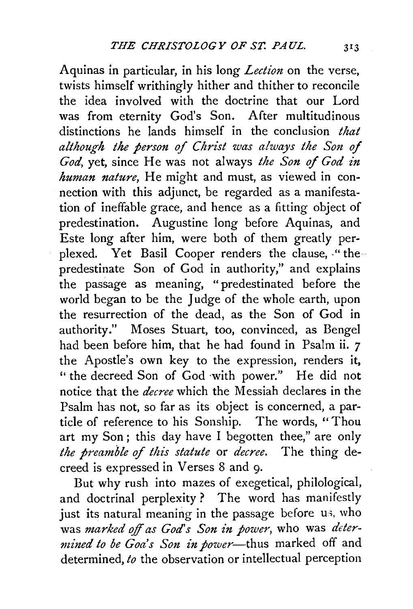Aquinas in particular, in his long *Lection* on the verse, twists himself writhingly hither and thither to reconcile the idea involved with the doctrine that our Lord was from eternity God's Son. After multitudinous distinctions he lands himself in the conclusion *that although the person of Christ was always the Son of God,* yet, since He was not always *the Son of God in human nature,* He might and must, as viewed in connection with this adjunct, be regarded as a manifestation of ineffable grace, and hence as a fitting object of predestination. Augustine long before Aquinas, and Este long after him, were both of them greatly perplexed. Yet Basil Cooper renders the clause, "thepredestinate Son of God in authority," and explains the passage as meaning, "predestinated before the world began to be the Judge of the whole earth, upon the resurrection of the dead, as the Son of God in authority." Moses Stuart, too, convinced, as Bengel had been before him, that he had found in Psalm ii. *7*  the Apostle's own key to the expression, renders it, '' the decreed Son of God ·with power." He did not notice that the *decree* which the Messiah declares in the Psalm has not, so far as its object is concerned, a particle of reference to his Sonship. The words, ''Thou art my Son; this day have I begotten thee," are only *the preamble of this statute* or *decree.* The thing decreed is expressed in Verses 8 and 9·

But why rush into mazes of exegetical, philological, and doctrinal perplexity ? The word has manifestly just its natural meaning in the passage before us, who was *marked o/f as God's Son in power,* who was *determined to be Goa's Son in power-thus* marked off and determined, *to* the observation or intellectual perception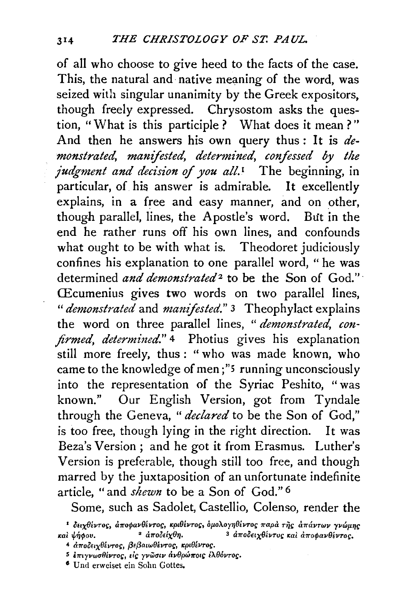of all who choose to give heed to the facts of the case. This, the natural and native meaning of the word, was seized with singular unanimity by the Greek expositors, though freely expressed. Chrysostom asks the question, "What is this participle? What does it mean?" And then he answers his own query thus: It is *demonstrated, manifested, determ£ned, confessed by the judgment and decision of you all.<sup>1</sup>* The beginning, in particular, of his answer is admirable. It excellently explains, in a free and easy manner, and on other, though parallel, lines, the Apostle's word. But in the end he rather runs off his own lines, and confounds what ought to be with what is. Theodoret judiciously confines his explanation to one parallel word, " he was determined *and demonstrated*<sup>2</sup> to be the Son of God." CEcumenius gives two words on two parallel lines, *"demonstrated* and *manifested."* 3 Theophylact explains the word on three parallel lines, " *demonstrated, confirmed, determined.*" <sup>4</sup> Photius gives his explanation still more freely, thus : "who was made known, who came to the knowledge of men ;"5 running unconsciously into the representation of the Syriac Peshito, "was known." Our English Version, got from Tyndale through the Geneva, " *declared* to be the Son of God," is too free, though lying in the right direction. It was Beza's Version ; and he got it from Erasmus. Luther's Version is preferable, though still too free, and though marred by the juxtaposition of an unfortunate indefinite article, "and *shewn* to be a Son of God." 6

Some, such as Sadolet, Castellio, Colenso, render the

<sup>6</sup> Und erweiset ein Sohn Gottes.

<sup>I</sup>oux9ivro~:, U11'0tflav91vro~;, rept9ovro~;, *op.oXoy1j9SVTO!; 1!'apa r;js U11'UVTWV yvwp.1jr; rai*  $\psi$ ήφου. <sup>2</sup> αποδείχθη. <sup>3</sup> αποδειχθέντυς και αποφανθέντος.

<sup>4</sup> αποδειχθέντος, βεβαιωθέντος, κριθέντος.

s i11'tyvwaflivro~;, •ic *yvwatv civ9pw11'ot!:* iAeovro~;.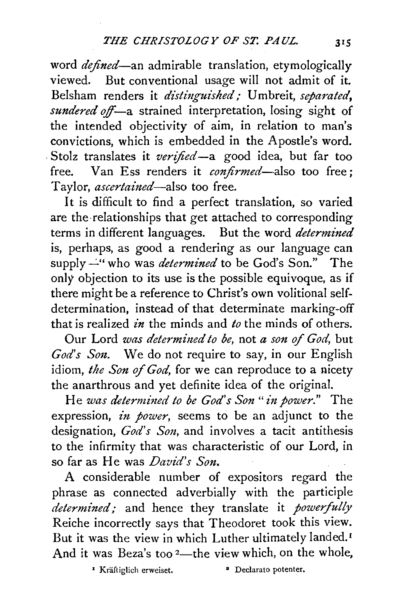word *defined-an* admirable translation, etymologically viewed. But conventional usage will not admit of it. Belsham renders it *distinguished*; Umbreit, *separated*, *sundered off*—a strained interpretation, losing sight of the intended objectivity of aim, in relation to man's convictions, which is embedded in the Apostle's word. . Stolz translates it *verified-a* good idea, but far too free. Van Ess renders it *confirmed-also* too free; Taylor, *ascertained-also* too free.

It is difficult to find a perfect translation, so varied are the·relationships that get attached to corresponding terms in different languages. But the word *determined*  is, perhaps, as good a rendering as our language can supply  $-$ " who was *determined* to be God's Son." The only objection to its use is the possible equivoque, as if there might be a reference to Christ's own volitional selfdetermination, instead of that determinate marking-off that is realized *in* the minds and *to* the minds of others.

Our Lord *was determined to be*, not *a son of God*, but *God's S01t.* We do not require to say, in our English idiom, *the Son of God,* for we can reproduce to a nicety the anarthrous and yet definite idea of the original.

He *was determined to be God's Son" in power."* The expression, *in power,* seems to be an adjunct to the designation, *God's Son,* and involves a tacit antithesis to the infirmity that was characteristic of our Lord, in so far as He was *David's Son.* 

A considerable number of expositors regard the phrase as connected adverbially with the participle *determined;* and hence they translate it *powerfully* Reiche incorrectly says that Theodoret took this view. But it was the view in which Luther ultimately landed.<sup>1</sup> And it was Beza's too  $2$ —the view which, on the whole,

<sup>1</sup> Kräftiglich erweiset. <sup>•</sup> Declarato potenter.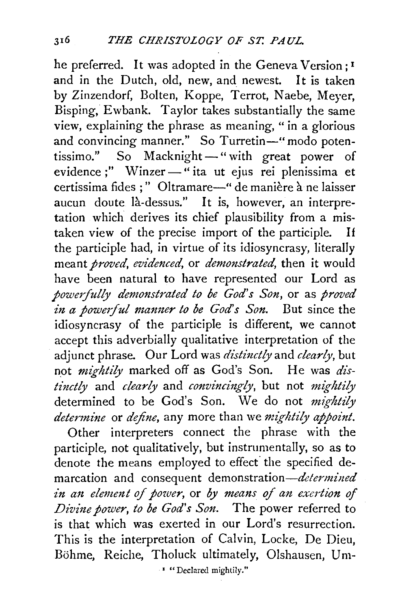he preferred. It was adopted in the Geneva Version ;<sup>1</sup> and in the Dutch, old, new, and newest. It is taken by Zinzendorf, Bolten, Koppe, Terrot, Naebe, Meyer, Bisping, Ewbank. Taylor takes substantially the same view, explaining the phrase as meaning, " in a glorious and convincing manner." So Turretin-" modo potentissimo." So Macknight-" with great power of evidence;" Winzer-" ita ut ejus rei plenissima et certissima fides ; " Oltramare-" de manière à ne laisser aucun doute la-dessus." It is, however, an interpretation which derives its chief plausibility from a mistaken view of the precise import of the participle. If the participle had, in virtue of its idiosyncrasy, literally meant *proved, evidenced,* or *demonstrated,* then it would have been natural to have represented our Lord as *powerfully demonstrated to be God's Son,* or as *proved in a powerful manner to be God's Son.* But since the idiosyncrasy of the participle is different, we cannot accept this adverbially qualitative interpretation of the adjunct phrase. Our Lord was *distinctly* and *clearly,* but not *mightily* marked off as God's Son. He was *distinctly* and *clearly* and *convincingly*, but not *mightily* determined to be God's Son. We do not *mightily determine* or *define,* any more than we *mightily appoint.* 

Other interpreters connect the phrase with the participle, not qualitatively, but instrumentally, so as to denote the means employed to effect the specified demarcation and consequent demonstration-determined *in an element of power*, or *by means of an exertion of Divi1ze power, to be God's Son.* The power referred to is that which was exerted in our Lord's resurrection. This is the interpretation of Calvin, Locke, De Dieu, Böhme, Reiche, Tholuck ultimately, Olshausen, Um-

• "Declared mightily."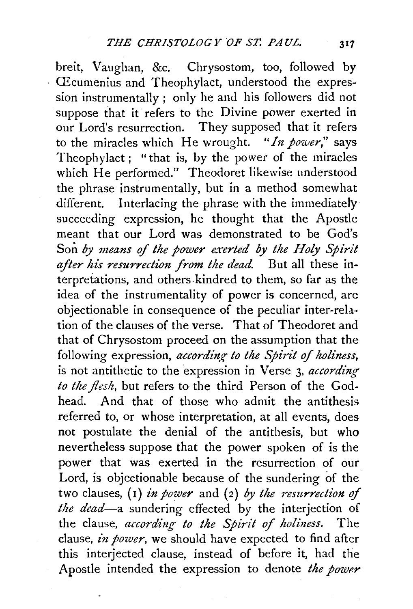breit, Vaughan, &c. Chrysostom, too, followed by CEcumenius and Theophylact, understood the expression instrumentally ; only he and his followers did not suppose that it refers to the Divine power exerted in our Lord's resurrection. They supposed that it refers to the miracles which He wrought. *"In power,"* says Theophylact ; "that is, by the power of the miracles which He performed." Theodoret likewise understood the phrase instrumentally, but in a method somewhat different. Interlacing the phrase with the immediately succeeding expression, he thought that the Apostle meant that our Lord was demonstrated to be God's Son *by means* of *the power exerted by the Holy Spirit*  after his resurrection from the dead. But all these interpretations, and others kindred to them, so far as the idea of the instrumentality of power is concerned, are objectionable in consequence of the peculiar inter-relation of the clauses of the verse. That of Theodoret and that of Chrysostom proceed on the assumption that the following expression, *according to the Spirit of holiness*, is not antithetic to the expression in Verse 3. *according to the flesh,* but refers to the third Person of the Godhead. And that of those who admit. the antithesis referred to, or whose interpretation, at all events, does not postulate the denial of the antithesis, but who nevertheless suppose that the power spoken of is the power that was exerted in the resurrection of our Lord, is objectionable because of the sundering of the two clauses, (1) *in power* and (2) *by the resurrection of the dead-a* sundering effected by the interjection of the clause, *according to the Spirit* of *holiness.* The clause, *in power*, we should have expected to find after this interjected clause, instead of before it, had the Apostle intended the expression to denote the power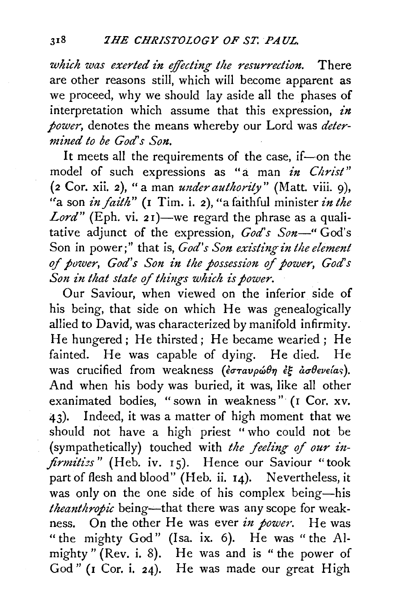*which was exerted in effecting the resurrection.* There are other reasons still, which will become apparent as we proceed, why we should lay aside all the phases of interpretation which assume that this expression, *in power,* denotes the means whereby our Lord was *determined to be God's Son.* 

It meets all the requirements of the case, if-on the model of such expressions as "a man *in Christ"*  (2 Cor. xii. 2), "a man *under authority"* (Matt. viii. 9), "a son *in faith"* (1 Tim. i. 2), "a faithful minister *in the Lord"* (Eph. vi. 21)—we regard the phrase as a qualitative adjunct of the expression, *God's Son-"* God's Son in power;" that is, *God's Son existing in the element* of power, God's Son in the possession of power, God's *Son in that state of things which is power.* 

Our Saviour, when viewed on the inferior side of his being, that side on which He was genealogically allied to David, was characterized by manifold infirmity. He hungered; He thirsted; He became wearied; He fainted. He was capable of dying. He died. He was crucified from weakness (εσταυρώθη εξ ασθενείας). And when his body was buried, it was, like all other exanimated bodies, "sown in weakness" (I Cor. xv. 43). Indeed, it was a matter of high moment that we should not have a high priest "who could not be (sympathetically) touched with *the feeling of our infirmitizs"* (Heb. iv. 15). Hence our Saviour "took part of flesh and blood" (Heb. ii. 14). Nevertheless, it was only on the one side of his complex being-his *theanthropic* being—that there was any scope for weakness. On the other He was ever *in power.* He was "the mighty God" (Isa. ix. 6). He was " the Almighty" (Rev. i. 8). He was and is "the power of God" (I Cor. i. 24). He was made our great High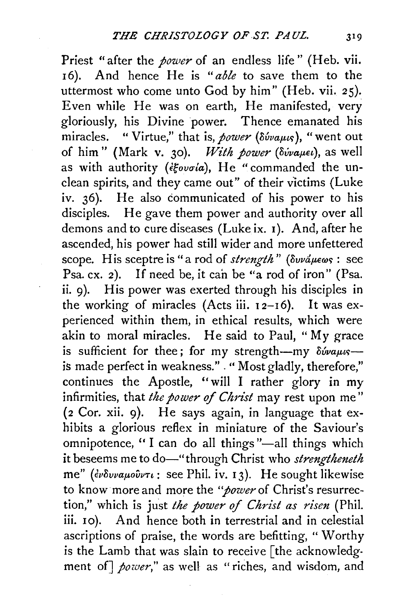Priest "after the *power* of an endless life" (Heb. vii. <sup>I</sup>6). And hence He is *"able* to save them to the uttermost who come unto God by him" (Heb. vii. 25). Even while He was on earth, He manifested, very gloriously, his Divine power. Thence emanated his miracles. "Virtue," that is, *power* ( $\delta \omega_{\mu}$ , "went out) of him" (Mark v. 30). *With power* ( $\delta v$ *ivaµel*), as well as with authority ( $i\xi o\nu\sigma i\alpha$ ), He "commanded the unclean spirits, and they came out" of their victims (Luke iv. 36). He also communicated of his power to his disciples. He gave them power and authority over all demons and to cure diseases (Luke ix. I). And, after he ascended, his power had still wider and more unfettered scope. His sceptre is "a rod of *strength*" ( $\delta v \alpha \mu \epsilon \omega s$ : see Psa. cx. 2). If need be, it can be "a rod of iron" (Psa. ii. 9). His power was exerted through his disciples in the working of miracles (Acts iii.  $12-16$ ). It was experienced within them, in ethical results, which were akin to moral miracles. He said to Paul, "My grace is sufficient for thee; for my strength-my  $\delta \acute{\omega}$ uus-is made perfect in weakness." . " Most gladly, therefore," continues the Apostle, ''will I rather glory in my infirmities, that *the power* of *Christ* may rest upon me" (2 Cor. xii. 9). He says again, in language that exhibits a glorious reflex in miniature of the Saviour's omnipotence, "I can do all things "-all things which it beseems me to do-"through Christ who *strengtheneth* me" ( $\epsilon \delta \nu \nu \alpha \mu \omega \nu \nu \nu$ : see Phil. iv. 13). He sought likewise to know more and more the "power of Christ's resurrection," which is just the power of Christ as risen (Phil. iii. 10). And hence both in terrestrial and in celestial ascriptions of praise, the words are befitting, " Worthy is the Lamb that was slain to receive [the acknowledgment of] *power,"* as well as "riches, and wisdom, and